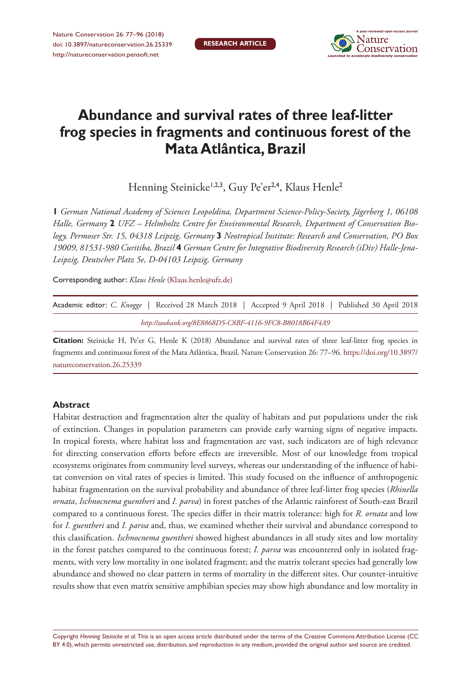

# **Abundance and survival rates of three leaf-litter frog species in fragments and continuous forest of the Mata Atlântica, Brazil**

Henning Steinicke<sup>1,2,3</sup>, Guy Pe'er<sup>2,4</sup>, Klaus Henle<sup>2</sup>

**1** *German National Academy of Sciences Leopoldina, Department Science-Policy-Society, Jägerberg 1, 06108 Halle, Germany* **2** *UFZ – Helmholtz Centre for Environmental Research, Department of Conservation Biology, Permoser Str. 15, 04318 Leipzig, Germany* **3** *Neotropical Institute: Research and Conservation, PO Box 19009, 81531-980 Curitiba, Brazil* **4** *German Centre for Integrative Biodiversity Research (iDiv) Halle-Jena-Leipzig, Deutscher Platz 5e, D-04103 Leipzig, Germany*

Corresponding author: *Klaus Henle* ([Klaus.henle@ufz.de\)](mailto:Klaus.henle@ufz.de)

| Academic editor: C. Knogge   Received 28 March 2018   Accepted 9 April 2018   Published 30 April 2018 |  |  |  |  |  |  |
|-------------------------------------------------------------------------------------------------------|--|--|--|--|--|--|
| http://zoobank.org/8E8868D5-C8BF-4116-9FC8-B8018B64F4A9                                               |  |  |  |  |  |  |

**Citation:** Steinicke H, Pe'er G, Henle K (2018) Abundance and survival rates of three leaf-litter frog species in fragments and continuous forest of the Mata Atlântica, Brazil. Nature Conservation 26: 77–96. [https://doi.org/10.3897/](https://doi.org/10.3897/natureconservation.26.25339) [natureconservation.26.25339](https://doi.org/10.3897/natureconservation.26.25339)

# **Abstract**

Habitat destruction and fragmentation alter the quality of habitats and put populations under the risk of extinction. Changes in population parameters can provide early warning signs of negative impacts. In tropical forests, where habitat loss and fragmentation are vast, such indicators are of high relevance for directing conservation efforts before effects are irreversible. Most of our knowledge from tropical ecosystems originates from community level surveys, whereas our understanding of the influence of habitat conversion on vital rates of species is limited. This study focused on the influence of anthropogenic habitat fragmentation on the survival probability and abundance of three leaf-litter frog species (*Rhinella ornata*, *Ischnocnema guentheri* and *I. parva*) in forest patches of the Atlantic rainforest of South-east Brazil compared to a continuous forest. The species differ in their matrix tolerance: high for *R. ornata* and low for *I. guentheri* and *I. parva* and, thus, we examined whether their survival and abundance correspond to this classification. *Ischnocnema guentheri* showed highest abundances in all study sites and low mortality in the forest patches compared to the continuous forest; *I. parva* was encountered only in isolated fragments, with very low mortality in one isolated fragment; and the matrix tolerant species had generally low abundance and showed no clear pattern in terms of mortality in the different sites. Our counter-intuitive results show that even matrix sensitive amphibian species may show high abundance and low mortality in

Copyright *Henning Steinicke et al.* This is an open access article distributed under the terms of the [Creative Commons Attribution License \(CC](http://creativecommons.org/licenses/by/4.0/)  [BY 4.0\)](http://creativecommons.org/licenses/by/4.0/), which permits unrestricted use, distribution, and reproduction in any medium, provided the original author and source are credited.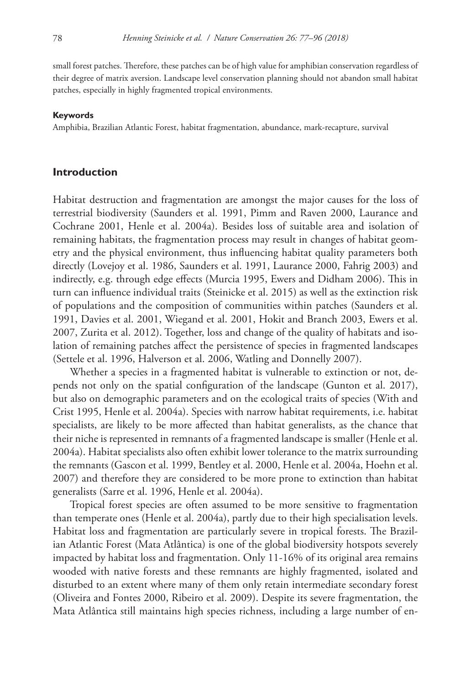small forest patches. Therefore, these patches can be of high value for amphibian conservation regardless of their degree of matrix aversion. Landscape level conservation planning should not abandon small habitat patches, especially in highly fragmented tropical environments.

#### **Keywords**

Amphibia, Brazilian Atlantic Forest, habitat fragmentation, abundance, mark-recapture, survival

#### **Introduction**

Habitat destruction and fragmentation are amongst the major causes for the loss of terrestrial biodiversity (Saunders et al. 1991, Pimm and Raven 2000, Laurance and Cochrane 2001, Henle et al. 2004a). Besides loss of suitable area and isolation of remaining habitats, the fragmentation process may result in changes of habitat geometry and the physical environment, thus influencing habitat quality parameters both directly (Lovejoy et al. 1986, Saunders et al. 1991, Laurance 2000, Fahrig 2003) and indirectly, e.g. through edge effects (Murcia 1995, Ewers and Didham 2006). This in turn can influence individual traits (Steinicke et al. 2015) as well as the extinction risk of populations and the composition of communities within patches (Saunders et al. 1991, Davies et al. 2001, Wiegand et al. 2001, Hokit and Branch 2003, Ewers et al. 2007, Zurita et al. 2012). Together, loss and change of the quality of habitats and isolation of remaining patches affect the persistence of species in fragmented landscapes (Settele et al. 1996, Halverson et al. 2006, Watling and Donnelly 2007).

Whether a species in a fragmented habitat is vulnerable to extinction or not, depends not only on the spatial configuration of the landscape (Gunton et al. 2017), but also on demographic parameters and on the ecological traits of species (With and Crist 1995, Henle et al. 2004a). Species with narrow habitat requirements, i.e. habitat specialists, are likely to be more affected than habitat generalists, as the chance that their niche is represented in remnants of a fragmented landscape is smaller (Henle et al. 2004a). Habitat specialists also often exhibit lower tolerance to the matrix surrounding the remnants (Gascon et al. 1999, Bentley et al. 2000, Henle et al. 2004a, Hoehn et al. 2007) and therefore they are considered to be more prone to extinction than habitat generalists (Sarre et al. 1996, Henle et al. 2004a).

Tropical forest species are often assumed to be more sensitive to fragmentation than temperate ones (Henle et al. 2004a), partly due to their high specialisation levels. Habitat loss and fragmentation are particularly severe in tropical forests. The Brazilian Atlantic Forest (Mata Atlântica) is one of the global biodiversity hotspots severely impacted by habitat loss and fragmentation. Only 11-16% of its original area remains wooded with native forests and these remnants are highly fragmented, isolated and disturbed to an extent where many of them only retain intermediate secondary forest (Oliveira and Fontes 2000, Ribeiro et al. 2009). Despite its severe fragmentation, the Mata Atlântica still maintains high species richness, including a large number of en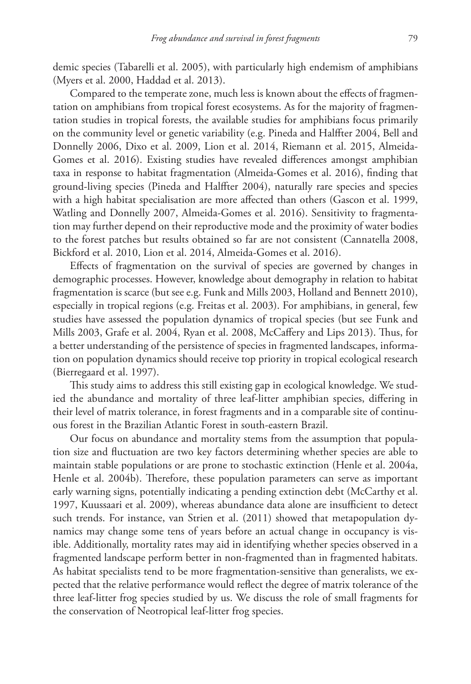demic species (Tabarelli et al. 2005), with particularly high endemism of amphibians (Myers et al. 2000, Haddad et al. 2013).

Compared to the temperate zone, much less is known about the effects of fragmentation on amphibians from tropical forest ecosystems. As for the majority of fragmentation studies in tropical forests, the available studies for amphibians focus primarily on the community level or genetic variability (e.g. Pineda and Halffter 2004, Bell and Donnelly 2006, Dixo et al. 2009, Lion et al. 2014, Riemann et al. 2015, Almeida-Gomes et al. 2016). Existing studies have revealed differences amongst amphibian taxa in response to habitat fragmentation (Almeida-Gomes et al. 2016), finding that ground-living species (Pineda and Halffter 2004), naturally rare species and species with a high habitat specialisation are more affected than others (Gascon et al. 1999, Watling and Donnelly 2007, Almeida-Gomes et al. 2016). Sensitivity to fragmentation may further depend on their reproductive mode and the proximity of water bodies to the forest patches but results obtained so far are not consistent (Cannatella 2008, Bickford et al. 2010, Lion et al. 2014, Almeida-Gomes et al. 2016).

Effects of fragmentation on the survival of species are governed by changes in demographic processes. However, knowledge about demography in relation to habitat fragmentation is scarce (but see e.g. Funk and Mills 2003, Holland and Bennett 2010), especially in tropical regions (e.g. Freitas et al. 2003). For amphibians, in general, few studies have assessed the population dynamics of tropical species (but see Funk and Mills 2003, Grafe et al. 2004, Ryan et al. 2008, McCaffery and Lips 2013). Thus, for a better understanding of the persistence of species in fragmented landscapes, information on population dynamics should receive top priority in tropical ecological research (Bierregaard et al. 1997).

This study aims to address this still existing gap in ecological knowledge. We studied the abundance and mortality of three leaf-litter amphibian species, differing in their level of matrix tolerance, in forest fragments and in a comparable site of continuous forest in the Brazilian Atlantic Forest in south-eastern Brazil.

Our focus on abundance and mortality stems from the assumption that population size and fluctuation are two key factors determining whether species are able to maintain stable populations or are prone to stochastic extinction (Henle et al. 2004a, Henle et al. 2004b). Therefore, these population parameters can serve as important early warning signs, potentially indicating a pending extinction debt (McCarthy et al. 1997, Kuussaari et al. 2009), whereas abundance data alone are insufficient to detect such trends. For instance, van Strien et al. (2011) showed that metapopulation dynamics may change some tens of years before an actual change in occupancy is visible. Additionally, mortality rates may aid in identifying whether species observed in a fragmented landscape perform better in non-fragmented than in fragmented habitats. As habitat specialists tend to be more fragmentation-sensitive than generalists, we expected that the relative performance would reflect the degree of matrix tolerance of the three leaf-litter frog species studied by us. We discuss the role of small fragments for the conservation of Neotropical leaf-litter frog species.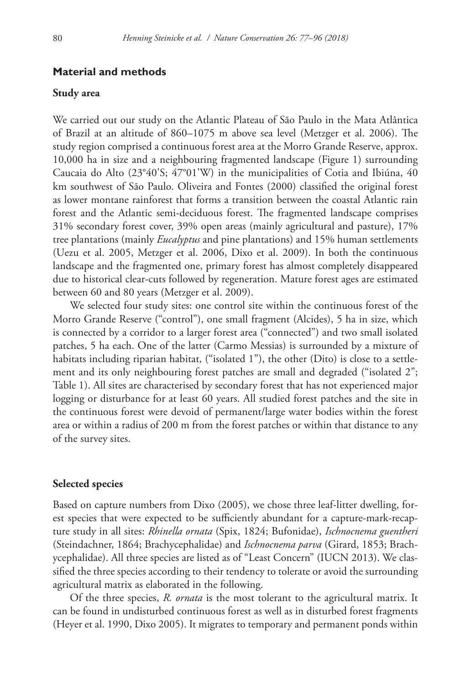## **Material and methods**

#### **Study area**

We carried out our study on the Atlantic Plateau of São Paulo in the Mata Atlântica of Brazil at an altitude of 860–1075 m above sea level (Metzger et al. 2006). The study region comprised a continuous forest area at the Morro Grande Reserve, approx. 10,000 ha in size and a neighbouring fragmented landscape (Figure 1) surrounding Caucaia do Alto (23°40'S; 47°01'W) in the municipalities of Cotia and Ibiúna, 40 km southwest of São Paulo. Oliveira and Fontes (2000) classified the original forest as lower montane rainforest that forms a transition between the coastal Atlantic rain forest and the Atlantic semi-deciduous forest. The fragmented landscape comprises 31% secondary forest cover, 39% open areas (mainly agricultural and pasture), 17% tree plantations (mainly *Eucalyptus* and pine plantations) and 15% human settlements (Uezu et al. 2005, Metzger et al. 2006, Dixo et al. 2009). In both the continuous landscape and the fragmented one, primary forest has almost completely disappeared due to historical clear-cuts followed by regeneration. Mature forest ages are estimated between 60 and 80 years (Metzger et al. 2009).

We selected four study sites: one control site within the continuous forest of the Morro Grande Reserve ("control"), one small fragment (Alcides), 5 ha in size, which is connected by a corridor to a larger forest area ("connected") and two small isolated patches, 5 ha each. One of the latter (Carmo Messias) is surrounded by a mixture of habitats including riparian habitat, ("isolated 1"), the other (Dito) is close to a settlement and its only neighbouring forest patches are small and degraded ("isolated 2"; Table 1). All sites are characterised by secondary forest that has not experienced major logging or disturbance for at least 60 years. All studied forest patches and the site in the continuous forest were devoid of permanent/large water bodies within the forest area or within a radius of 200 m from the forest patches or within that distance to any of the survey sites.

## **Selected species**

Based on capture numbers from Dixo (2005), we chose three leaf-litter dwelling, forest species that were expected to be sufficiently abundant for a capture-mark-recapture study in all sites: *Rhinella ornata* (Spix, 1824; Bufonidae), *Ischnocnema guentheri* (Steindachner, 1864; Brachycephalidae) and *Ischnocnema parva* (Girard, 1853; Brachycephalidae). All three species are listed as of "Least Concern" (IUCN 2013). We classified the three species according to their tendency to tolerate or avoid the surrounding agricultural matrix as elaborated in the following.

Of the three species, *R. ornata* is the most tolerant to the agricultural matrix. It can be found in undisturbed continuous forest as well as in disturbed forest fragments (Heyer et al. 1990, Dixo 2005). It migrates to temporary and permanent ponds within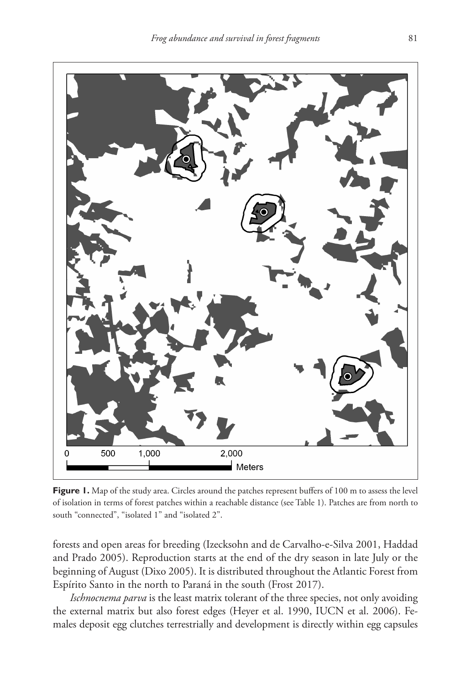

Figure 1. Map of the study area. Circles around the patches represent buffers of 100 m to assess the level of isolation in terms of forest patches within a reachable distance (see Table 1). Patches are from north to south "connected", "isolated 1" and "isolated 2".

forests and open areas for breeding (Izecksohn and de Carvalho-e-Silva 2001, Haddad and Prado 2005). Reproduction starts at the end of the dry season in late July or the beginning of August (Dixo 2005). It is distributed throughout the Atlantic Forest from Espírito Santo in the north to Paraná in the south (Frost 2017).

*Ischnocnema parva* is the least matrix tolerant of the three species, not only avoiding the external matrix but also forest edges (Heyer et al. 1990, IUCN et al. 2006). Females deposit egg clutches terrestrially and development is directly within egg capsules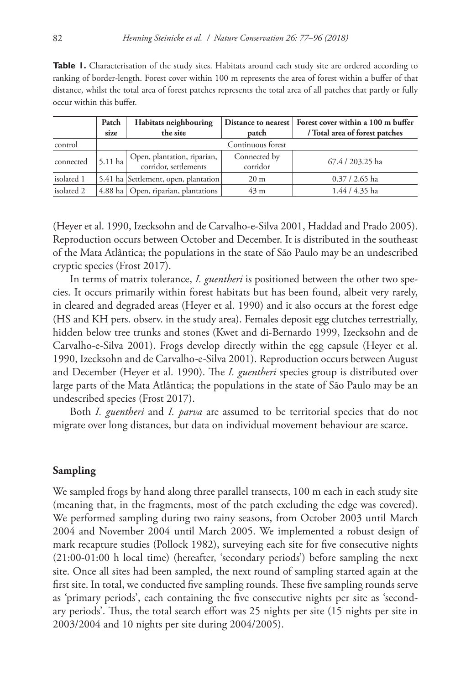Table 1. Characterisation of the study sites. Habitats around each study site are ordered according to ranking of border-length. Forest cover within 100 m represents the area of forest within a buffer of that distance, whilst the total area of forest patches represents the total area of all patches that partly or fully occur within this buffer.

|            | Patch<br>size | Habitats neighbouring<br>the site                    | patch                    | Distance to nearest   Forest cover within a 100 m buffer<br>/ Total area of forest patches |
|------------|---------------|------------------------------------------------------|--------------------------|--------------------------------------------------------------------------------------------|
| control    |               |                                                      | Continuous forest        |                                                                                            |
| connected  | $5.11$ ha     | Open, plantation, riparian,<br>corridor, settlements | Connected by<br>corridor | 67.4 / 203.25 ha                                                                           |
| isolated 1 |               | 5.41 ha Settlement, open, plantation                 | 20 <sub>m</sub>          | $0.37/2.65$ ha                                                                             |
| isolated 2 |               | 4.88 ha   Open, riparian, plantations                | 43 <sub>m</sub>          | 1.44 / 4.35 ha                                                                             |

(Heyer et al. 1990, Izecksohn and de Carvalho-e-Silva 2001, Haddad and Prado 2005). Reproduction occurs between October and December. It is distributed in the southeast of the Mata Atlântica; the populations in the state of São Paulo may be an undescribed cryptic species (Frost 2017).

In terms of matrix tolerance, *I. guentheri* is positioned between the other two species. It occurs primarily within forest habitats but has been found, albeit very rarely, in cleared and degraded areas (Heyer et al. 1990) and it also occurs at the forest edge (HS and KH pers. observ. in the study area). Females deposit egg clutches terrestrially, hidden below tree trunks and stones (Kwet and di-Bernardo 1999, Izecksohn and de Carvalho-e-Silva 2001). Frogs develop directly within the egg capsule (Heyer et al. 1990, Izecksohn and de Carvalho-e-Silva 2001). Reproduction occurs between August and December (Heyer et al. 1990). The *I. guentheri* species group is distributed over large parts of the Mata Atlântica; the populations in the state of São Paulo may be an undescribed species (Frost 2017).

Both *I. guentheri* and *I. parva* are assumed to be territorial species that do not migrate over long distances, but data on individual movement behaviour are scarce.

# **Sampling**

We sampled frogs by hand along three parallel transects, 100 m each in each study site (meaning that, in the fragments, most of the patch excluding the edge was covered). We performed sampling during two rainy seasons, from October 2003 until March 2004 and November 2004 until March 2005. We implemented a robust design of mark recapture studies (Pollock 1982), surveying each site for five consecutive nights (21:00-01:00 h local time) (hereafter, 'secondary periods') before sampling the next site. Once all sites had been sampled, the next round of sampling started again at the first site. In total, we conducted five sampling rounds. These five sampling rounds serve as 'primary periods', each containing the five consecutive nights per site as 'secondary periods'. Thus, the total search effort was 25 nights per site (15 nights per site in 2003/2004 and 10 nights per site during 2004/2005).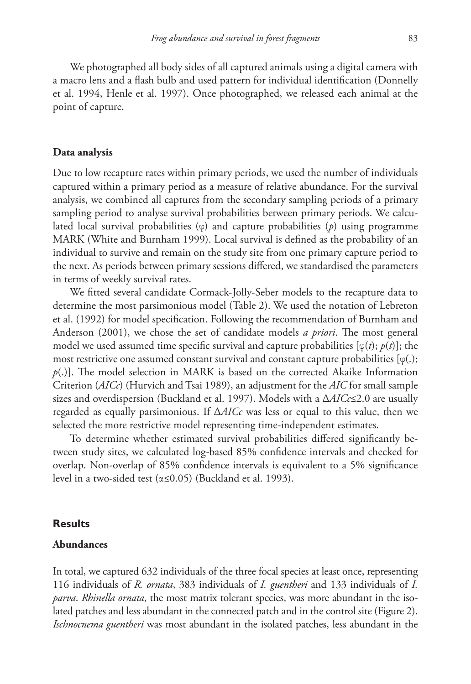We photographed all body sides of all captured animals using a digital camera with a macro lens and a flash bulb and used pattern for individual identification (Donnelly et al. 1994, Henle et al. 1997). Once photographed, we released each animal at the point of capture.

#### **Data analysis**

Due to low recapture rates within primary periods, we used the number of individuals captured within a primary period as a measure of relative abundance. For the survival analysis, we combined all captures from the secondary sampling periods of a primary sampling period to analyse survival probabilities between primary periods. We calculated local survival probabilities (φ) and capture probabilities (*p*) using programme MARK (White and Burnham 1999). Local survival is defined as the probability of an individual to survive and remain on the study site from one primary capture period to the next. As periods between primary sessions differed, we standardised the parameters in terms of weekly survival rates.

We fitted several candidate Cormack-Jolly-Seber models to the recapture data to determine the most parsimonious model (Table 2). We used the notation of Lebreton et al. (1992) for model specification. Following the recommendation of Burnham and Anderson (2001), we chose the set of candidate models *a priori*. The most general model we used assumed time specific survival and capture probabilities  $[\varphi(t); p(t)]$ ; the most restrictive one assumed constant survival and constant capture probabilities  $[\varphi(.);$ *p*(.)]. The model selection in MARK is based on the corrected Akaike Information Criterion (*AICc*) (Hurvich and Tsai 1989), an adjustment for the *AIC* for small sample sizes and overdispersion (Buckland et al. 1997). Models with a Δ*AICc*≤2.0 are usually regarded as equally parsimonious. If Δ*AICc* was less or equal to this value, then we selected the more restrictive model representing time-independent estimates.

To determine whether estimated survival probabilities differed significantly between study sites, we calculated log-based 85% confidence intervals and checked for overlap. Non-overlap of 85% confidence intervals is equivalent to a 5% significance level in a two-sided test (α≤0.05) (Buckland et al. 1993).

#### **Results**

# **Abundances**

In total, we captured 632 individuals of the three focal species at least once, representing 116 individuals of *R. ornata*, 383 individuals of *I. guentheri* and 133 individuals of *I. parva*. *Rhinella ornata*, the most matrix tolerant species, was more abundant in the isolated patches and less abundant in the connected patch and in the control site (Figure 2). *Ischnocnema guentheri* was most abundant in the isolated patches, less abundant in the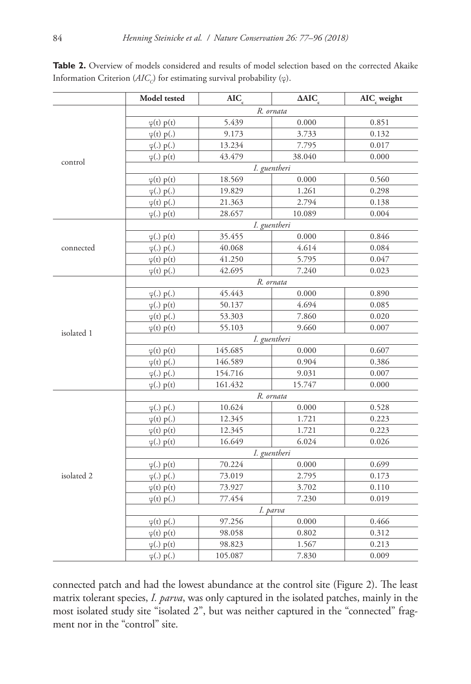|            | Model tested        | AIC     | $\triangle AIC$ | AIC <sub>c</sub> weight |  |  |
|------------|---------------------|---------|-----------------|-------------------------|--|--|
|            | R. ornata           |         |                 |                         |  |  |
|            | $\varphi(t)$ p(t)   | 5.439   | 0.000           | 0.851                   |  |  |
|            | $\varphi(t)$ p(.)   | 9.173   | 3.733           | 0.132                   |  |  |
|            | $\varphi(.)$ p(.)   | 13.234  | 7.795           | 0.017                   |  |  |
| control    | $\varphi(.)$ $p(t)$ | 43.479  | 38.040          | 0.000                   |  |  |
|            | I. guentheri        |         |                 |                         |  |  |
|            | $\varphi(t)$ p(t)   | 18.569  | 0.000           | 0.560                   |  |  |
|            | $\varphi(.)$ p(.)   | 19.829  | 1.261           | 0.298                   |  |  |
|            | $\varphi(t)$ p(.)   | 21.363  | 2.794           | 0.138                   |  |  |
|            | $\varphi(.)$ p(t)   | 28.657  | 10.089          | 0.004                   |  |  |
|            | I. guentheri        |         |                 |                         |  |  |
|            | $\varphi(.)$ p(t)   | 35.455  | 0.000           | 0.846                   |  |  |
| connected  | $\varphi(.)$ p(.)   | 40.068  | 4.614           | 0.084                   |  |  |
|            | $\varphi(t)$ p(t)   | 41.250  | 5.795           | 0.047                   |  |  |
|            | $\varphi(t)$ p(.)   | 42.695  | 7.240           | 0.023                   |  |  |
|            | R. ornata           |         |                 |                         |  |  |
|            | $\varphi(.)$ p(.)   | 45.443  | 0.000           | 0.890                   |  |  |
|            | $\varphi(.)$ p(t)   | 50.137  | 4.694           | 0.085                   |  |  |
|            | $\varphi(t)$ p(.)   | 53.303  | 7.860           | 0.020                   |  |  |
| isolated 1 | $\varphi(t)$ p(t)   | 55.103  | 9.660           | 0.007                   |  |  |
|            | I. guentheri        |         |                 |                         |  |  |
|            | $\varphi(t)$ p(t)   | 145.685 | 0.000           | 0.607                   |  |  |
|            | $\varphi(t)$ p(.)   | 146.589 | 0.904           | 0.386                   |  |  |
|            | $\varphi(.)$ p(.)   | 154.716 | 9.031           | 0.007                   |  |  |
|            | $\varphi(.)$ $p(t)$ | 161.432 | 15.747          | 0.000                   |  |  |
|            | R. ornata           |         |                 |                         |  |  |
|            | $\varphi(.)$ p(.)   | 10.624  | 0.000           | 0.528                   |  |  |
|            | $\varphi(t)$ p(.)   | 12.345  | 1.721           | 0.223                   |  |  |
|            | $\varphi(t)$ p(t)   | 12.345  | 1.721           | 0.223                   |  |  |
|            | $\varphi(.)$ p(t)   | 16.649  | 6.024           | 0.026                   |  |  |
|            | I. guentheri        |         |                 |                         |  |  |
|            | $\varphi(.)$ p(t)   | 70.224  | 0.000           | 0.699                   |  |  |
| isolated 2 | $\varphi(.)$ p(.)   | 73.019  | 2.795           | 0.173                   |  |  |
|            | $\varphi(t)$ p(t)   | 73.927  | 3.702           | 0.110                   |  |  |
|            | $\varphi(t)$ p(.)   | 77.454  | 7.230           | 0.019                   |  |  |
|            | I. parva            |         |                 |                         |  |  |
|            | $\varphi(t)$ p(.)   | 97.256  | 0.000           | 0.466                   |  |  |
|            | $\varphi(t)$ p(t)   | 98.058  | 0.802           | 0.312                   |  |  |
|            | $\varphi(.)$ p(t)   | 98.823  | 1.567           | 0.213                   |  |  |
|            | $\varphi(.)$ p(.)   | 105.087 | 7.830           | 0.009                   |  |  |

Table 2. Overview of models considered and results of model selection based on the corrected Akaike Information Criterion (*AIC<sub>c</sub>*) for estimating survival probability (φ).

connected patch and had the lowest abundance at the control site (Figure 2). The least matrix tolerant species, *I. parva*, was only captured in the isolated patches, mainly in the most isolated study site "isolated 2", but was neither captured in the "connected" fragment nor in the "control" site.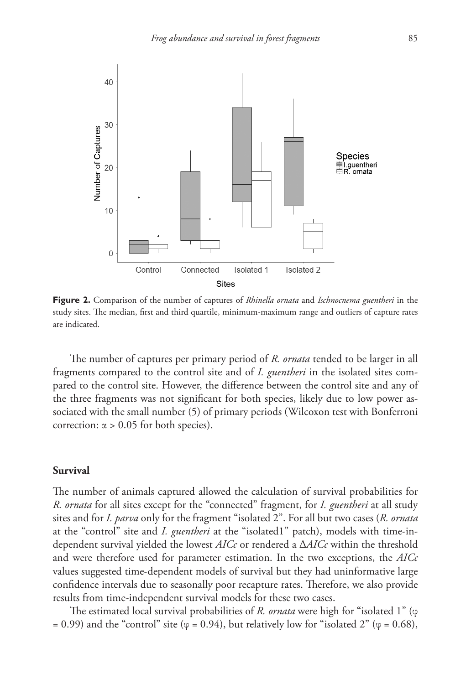

**Figure 2.** Comparison of the number of captures of *Rhinella ornata* and *Ischnocnema guentheri* in the study sites. The median, first and third quartile, minimum-maximum range and outliers of capture rates are indicated.

The number of captures per primary period of *R. ornata* tended to be larger in all fragments compared to the control site and of *I. guentheri* in the isolated sites compared to the control site. However, the difference between the control site and any of the three fragments was not significant for both species, likely due to low power associated with the small number (5) of primary periods (Wilcoxon test with Bonferroni correction:  $\alpha$  > 0.05 for both species).

## **Survival**

The number of animals captured allowed the calculation of survival probabilities for *R. ornata* for all sites except for the "connected" fragment, for *I. guentheri* at all study sites and for *I. parva* only for the fragment "isolated 2". For all but two cases (*R. ornata* at the "control" site and *I. guentheri* at the "isolated1" patch), models with time-independent survival yielded the lowest *AICc* or rendered a Δ*AICc* within the threshold and were therefore used for parameter estimation. In the two exceptions, the *AICc* values suggested time-dependent models of survival but they had uninformative large confidence intervals due to seasonally poor recapture rates. Therefore, we also provide results from time-independent survival models for these two cases.

The estimated local survival probabilities of *R. ornata* were high for "isolated 1" (φ = 0.99) and the "control" site ( $\varphi$  = 0.94), but relatively low for "isolated 2" ( $\varphi$  = 0.68),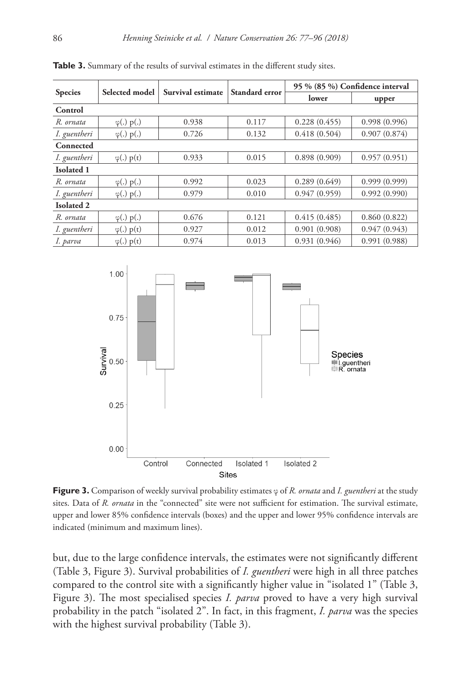| <b>Species</b>    |                   | Survival estimate | Standard error | 95 % (85 %) Confidence interval |              |  |
|-------------------|-------------------|-------------------|----------------|---------------------------------|--------------|--|
|                   | Selected model    |                   |                | lower                           | upper        |  |
| Control           |                   |                   |                |                                 |              |  |
| R. ornata         | $\varphi(.)$ p(.) | 0.938             | 0.117          | 0.228(0.455)                    | 0.998(0.996) |  |
| I. guentheri      | $\varphi(.)$ p(.) | 0.726             | 0.132          | 0.418(0.504)                    | 0.907(0.874) |  |
| Connected         |                   |                   |                |                                 |              |  |
| I. guentheri      | $\varphi(.)$ p(t) | 0.933             | 0.015          | 0.898(0.909)                    | 0.957(0.951) |  |
| <b>Isolated 1</b> |                   |                   |                |                                 |              |  |
| R. ornata         | $\varphi(.)$ p(.) | 0.992             | 0.023          | 0.289(0.649)                    | 0.999(0.999) |  |
| I. guentheri      | $\varphi(.)$ p(.) | 0.979             | 0.010          | 0.947(0.959)                    | 0.992(0.990) |  |
| <b>Isolated 2</b> |                   |                   |                |                                 |              |  |
| R. ornata         | $\varphi(.)$ p(.) | 0.676             | 0.121          | 0.415(0.485)                    | 0.860(0.822) |  |
| I. guentheri      | $\varphi(.)$ p(t) | 0.927             | 0.012          | 0.901(0.908)                    | 0.947(0.943) |  |
| I. parva          | $\varphi(.)$ p(t) | 0.974             | 0.013          | 0.931(0.946)                    | 0.991(0.988) |  |

**Table 3.** Summary of the results of survival estimates in the different study sites.



**Figure 3.** Comparison of weekly survival probability estimates φ of *R. ornata* and *I. guentheri* at the study sites. Data of *R. ornata* in the "connected" site were not sufficient for estimation. The survival estimate, upper and lower 85% confidence intervals (boxes) and the upper and lower 95% confidence intervals are indicated (minimum and maximum lines).

but, due to the large confidence intervals, the estimates were not significantly different (Table 3, Figure 3). Survival probabilities of *I. guentheri* were high in all three patches compared to the control site with a significantly higher value in "isolated 1" (Table 3, Figure 3). The most specialised species *I. parva* proved to have a very high survival probability in the patch "isolated 2". In fact, in this fragment, *I. parva* was the species with the highest survival probability (Table 3).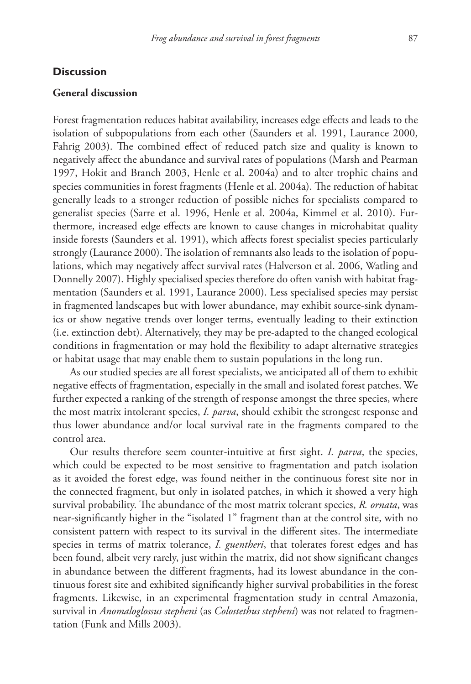## **Discussion**

#### **General discussion**

Forest fragmentation reduces habitat availability, increases edge effects and leads to the isolation of subpopulations from each other (Saunders et al. 1991, Laurance 2000, Fahrig 2003). The combined effect of reduced patch size and quality is known to negatively affect the abundance and survival rates of populations (Marsh and Pearman 1997, Hokit and Branch 2003, Henle et al. 2004a) and to alter trophic chains and species communities in forest fragments (Henle et al. 2004a). The reduction of habitat generally leads to a stronger reduction of possible niches for specialists compared to generalist species (Sarre et al. 1996, Henle et al. 2004a, Kimmel et al. 2010). Furthermore, increased edge effects are known to cause changes in microhabitat quality inside forests (Saunders et al. 1991), which affects forest specialist species particularly strongly (Laurance 2000). The isolation of remnants also leads to the isolation of populations, which may negatively affect survival rates (Halverson et al. 2006, Watling and Donnelly 2007). Highly specialised species therefore do often vanish with habitat fragmentation (Saunders et al. 1991, Laurance 2000). Less specialised species may persist in fragmented landscapes but with lower abundance, may exhibit source-sink dynamics or show negative trends over longer terms, eventually leading to their extinction (i.e. extinction debt). Alternatively, they may be pre-adapted to the changed ecological conditions in fragmentation or may hold the flexibility to adapt alternative strategies or habitat usage that may enable them to sustain populations in the long run.

As our studied species are all forest specialists, we anticipated all of them to exhibit negative effects of fragmentation, especially in the small and isolated forest patches. We further expected a ranking of the strength of response amongst the three species, where the most matrix intolerant species, *I. parva*, should exhibit the strongest response and thus lower abundance and/or local survival rate in the fragments compared to the control area.

Our results therefore seem counter-intuitive at first sight. *I. parva*, the species, which could be expected to be most sensitive to fragmentation and patch isolation as it avoided the forest edge, was found neither in the continuous forest site nor in the connected fragment, but only in isolated patches, in which it showed a very high survival probability. The abundance of the most matrix tolerant species, *R. ornata*, was near-significantly higher in the "isolated 1" fragment than at the control site, with no consistent pattern with respect to its survival in the different sites. The intermediate species in terms of matrix tolerance, *I. guentheri*, that tolerates forest edges and has been found, albeit very rarely, just within the matrix, did not show significant changes in abundance between the different fragments, had its lowest abundance in the continuous forest site and exhibited significantly higher survival probabilities in the forest fragments. Likewise, in an experimental fragmentation study in central Amazonia, survival in *Anomaloglossus stepheni* (as *Colostethus stepheni*) was not related to fragmentation (Funk and Mills 2003).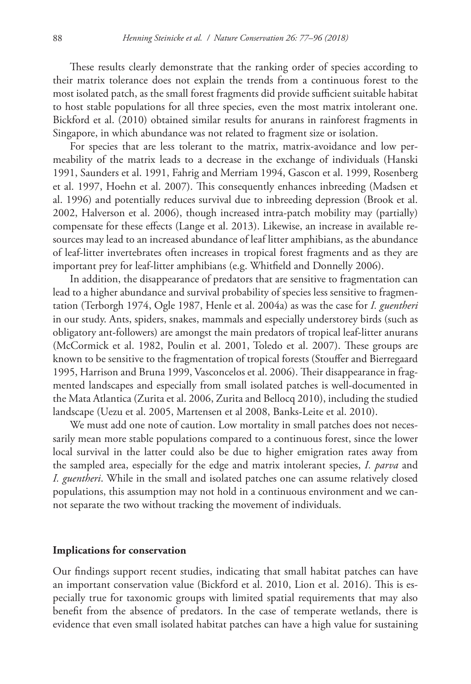These results clearly demonstrate that the ranking order of species according to their matrix tolerance does not explain the trends from a continuous forest to the most isolated patch, as the small forest fragments did provide sufficient suitable habitat to host stable populations for all three species, even the most matrix intolerant one. Bickford et al. (2010) obtained similar results for anurans in rainforest fragments in Singapore, in which abundance was not related to fragment size or isolation.

For species that are less tolerant to the matrix, matrix-avoidance and low permeability of the matrix leads to a decrease in the exchange of individuals (Hanski 1991, Saunders et al. 1991, Fahrig and Merriam 1994, Gascon et al. 1999, Rosenberg et al. 1997, Hoehn et al. 2007). This consequently enhances inbreeding (Madsen et al. 1996) and potentially reduces survival due to inbreeding depression (Brook et al. 2002, Halverson et al. 2006), though increased intra-patch mobility may (partially) compensate for these effects (Lange et al. 2013). Likewise, an increase in available resources may lead to an increased abundance of leaf litter amphibians, as the abundance of leaf-litter invertebrates often increases in tropical forest fragments and as they are important prey for leaf-litter amphibians (e.g. Whitfield and Donnelly 2006).

In addition, the disappearance of predators that are sensitive to fragmentation can lead to a higher abundance and survival probability of species less sensitive to fragmentation (Terborgh 1974, Ogle 1987, Henle et al. 2004a) as was the case for *I. guentheri* in our study. Ants, spiders, snakes, mammals and especially understorey birds (such as obligatory ant-followers) are amongst the main predators of tropical leaf-litter anurans (McCormick et al. 1982, Poulin et al. 2001, Toledo et al. 2007). These groups are known to be sensitive to the fragmentation of tropical forests (Stouffer and Bierregaard 1995, Harrison and Bruna 1999, Vasconcelos et al. 2006). Their disappearance in fragmented landscapes and especially from small isolated patches is well-documented in the Mata Atlantica (Zurita et al. 2006, Zurita and Bellocq 2010), including the studied landscape (Uezu et al. 2005, Martensen et al 2008, Banks-Leite et al. 2010).

We must add one note of caution. Low mortality in small patches does not necessarily mean more stable populations compared to a continuous forest, since the lower local survival in the latter could also be due to higher emigration rates away from the sampled area, especially for the edge and matrix intolerant species, *I. parva* and *I. guentheri*. While in the small and isolated patches one can assume relatively closed populations, this assumption may not hold in a continuous environment and we cannot separate the two without tracking the movement of individuals.

#### **Implications for conservation**

Our findings support recent studies, indicating that small habitat patches can have an important conservation value (Bickford et al. 2010, Lion et al. 2016). This is especially true for taxonomic groups with limited spatial requirements that may also benefit from the absence of predators. In the case of temperate wetlands, there is evidence that even small isolated habitat patches can have a high value for sustaining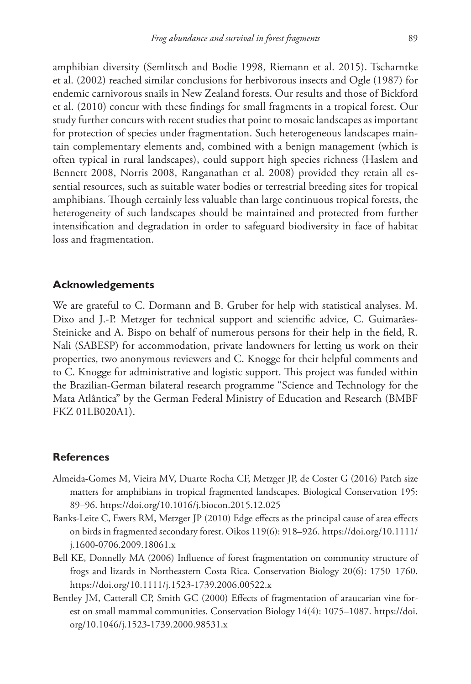amphibian diversity (Semlitsch and Bodie 1998, Riemann et al. 2015). Tscharntke et al. (2002) reached similar conclusions for herbivorous insects and Ogle (1987) for endemic carnivorous snails in New Zealand forests. Our results and those of Bickford et al. (2010) concur with these findings for small fragments in a tropical forest. Our study further concurs with recent studies that point to mosaic landscapes as important for protection of species under fragmentation. Such heterogeneous landscapes maintain complementary elements and, combined with a benign management (which is often typical in rural landscapes), could support high species richness (Haslem and Bennett 2008, Norris 2008, Ranganathan et al. 2008) provided they retain all essential resources, such as suitable water bodies or terrestrial breeding sites for tropical amphibians. Though certainly less valuable than large continuous tropical forests, the heterogeneity of such landscapes should be maintained and protected from further intensification and degradation in order to safeguard biodiversity in face of habitat loss and fragmentation.

## **Acknowledgements**

We are grateful to C. Dormann and B. Gruber for help with statistical analyses. M. Dixo and J.-P. Metzger for technical support and scientific advice, C. Guimarães-Steinicke and A. Bispo on behalf of numerous persons for their help in the field, R. Nali (SABESP) for accommodation, private landowners for letting us work on their properties, two anonymous reviewers and C. Knogge for their helpful comments and to C. Knogge for administrative and logistic support. This project was funded within the Brazilian-German bilateral research programme "Science and Technology for the Mata Atlântica" by the German Federal Ministry of Education and Research (BMBF FKZ 01LB020A1).

#### **References**

- Almeida-Gomes M, Vieira MV, Duarte Rocha CF, Metzger JP, de Coster G (2016) Patch size matters for amphibians in tropical fragmented landscapes. Biological Conservation 195: 89–96.<https://doi.org/10.1016/j.biocon.2015.12.025>
- Banks-Leite C, Ewers RM, Metzger JP (2010) Edge effects as the principal cause of area effects on birds in fragmented secondary forest. Oikos 119(6): 918–926. [https://doi.org/10.1111/](https://doi.org/10.1111/j.1600-0706.2009.18061.x) [j.1600-0706.2009.18061.x](https://doi.org/10.1111/j.1600-0706.2009.18061.x)
- Bell KE, Donnelly MA (2006) Influence of forest fragmentation on community structure of frogs and lizards in Northeastern Costa Rica. Conservation Biology 20(6): 1750–1760. <https://doi.org/10.1111/j.1523-1739.2006.00522.x>
- Bentley JM, Catterall CP, Smith GC (2000) Effects of fragmentation of araucarian vine forest on small mammal communities. Conservation Biology 14(4): 1075–1087. [https://doi.](https://doi.org/10.1046/j.1523-1739.2000.98531.x) [org/10.1046/j.1523-1739.2000.98531.x](https://doi.org/10.1046/j.1523-1739.2000.98531.x)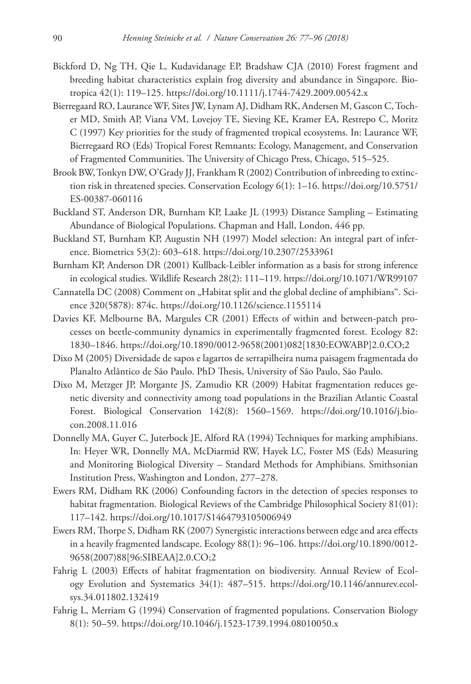- Bickford D, Ng TH, Qie L, Kudavidanage EP, Bradshaw CJA (2010) Forest fragment and breeding habitat characteristics explain frog diversity and abundance in Singapore. Biotropica 42(1): 119–125.<https://doi.org/10.1111/j.1744-7429.2009.00542.x>
- Bierregaard RO, Laurance WF, Sites JW, Lynam AJ, Didham RK, Andersen M, Gascon C, Tocher MD, Smith AP, Viana VM, Lovejoy TE, Sieving KE, Kramer EA, Restrepo C, Moritz C (1997) Key priorities for the study of fragmented tropical ecosystems. In: Laurance WF, Bierregaard RO (Eds) Tropical Forest Remnants: Ecology, Management, and Conservation of Fragmented Communities. The University of Chicago Press, Chicago, 515–525.
- Brook BW, Tonkyn DW, O'Grady JJ, Frankham R (2002) Contribution of inbreeding to extinction risk in threatened species. Conservation Ecology 6(1): 1–16. [https://doi.org/10.5751/](https://doi.org/10.5751/ES-00387-060116) [ES-00387-060116](https://doi.org/10.5751/ES-00387-060116)
- Buckland ST, Anderson DR, Burnham KP, Laake JL (1993) Distance Sampling Estimating Abundance of Biological Populations. Chapman and Hall, London, 446 pp.
- Buckland ST, Burnham KP, Augustin NH (1997) Model selection: An integral part of inference. Biometrics 53(2): 603–618. <https://doi.org/10.2307/2533961>
- Burnham KP, Anderson DR (2001) Kullback-Leibler information as a basis for strong inference in ecological studies. Wildlife Research 28(2): 111–119.<https://doi.org/10.1071/WR99107>
- Cannatella DC (2008) Comment on "Habitat split and the global decline of amphibians". Science 320(5878): 874c. <https://doi.org/10.1126/science.1155114>
- Davies KF, Melbourne BA, Margules CR (2001) Effects of within and between-patch processes on beetle-community dynamics in experimentally fragmented forest. Ecology 82: 1830–1846. [https://doi.org/10.1890/0012-9658\(2001\)082\[1830:EOWABP\]2.0.CO;2](https://doi.org/10.1890/0012-9658(2001)082%5B1830:EOWABP%5D2.0.CO;2)
- Dixo M (2005) Diversidade de sapos e lagartos de serrapilheira numa paisagem fragmentada do Planalto Atlântico de São Paulo. PhD Thesis, University of São Paulo, São Paulo.
- Dixo M, Metzger JP, Morgante JS, Zamudio KR (2009) Habitat fragmentation reduces genetic diversity and connectivity among toad populations in the Brazilian Atlantic Coastal Forest. Biological Conservation 142(8): 1560–1569. [https://doi.org/10.1016/j.bio](https://doi.org/10.1016/j.biocon.2008.11.016)[con.2008.11.016](https://doi.org/10.1016/j.biocon.2008.11.016)
- Donnelly MA, Guyer C, Juterbock JE, Alford RA (1994) Techniques for marking amphibians. In: Heyer WR, Donnelly MA, McDiarmid RW, Hayek LC, Foster MS (Eds) Measuring and Monitoring Biological Diversity – Standard Methods for Amphibians. Smithsonian Institution Press, Washington and London, 277–278.
- Ewers RM, Didham RK (2006) Confounding factors in the detection of species responses to habitat fragmentation. Biological Reviews of the Cambridge Philosophical Society 81(01): 117–142.<https://doi.org/10.1017/S1464793105006949>
- Ewers RM, Thorpe S, Didham RK (2007) Synergistic interactions between edge and area effects in a heavily fragmented landscape. Ecology 88(1): 96–106. [https://doi.org/10.1890/0012-](https://doi.org/10.1890/0012-9658(2007)88%5B96:SIBEAA%5D2.0.CO;2) [9658\(2007\)88\[96:SIBEAA\]2.0.CO;2](https://doi.org/10.1890/0012-9658(2007)88%5B96:SIBEAA%5D2.0.CO;2)
- Fahrig L (2003) Effects of habitat fragmentation on biodiversity. Annual Review of Ecology Evolution and Systematics 34(1): 487–515. [https://doi.org/10.1146/annurev.ecol](https://doi.org/10.1146/annurev.ecolsys.34.011802.132419)[sys.34.011802.132419](https://doi.org/10.1146/annurev.ecolsys.34.011802.132419)
- Fahrig L, Merriam G (1994) Conservation of fragmented populations. Conservation Biology 8(1): 50–59. <https://doi.org/10.1046/j.1523-1739.1994.08010050.x>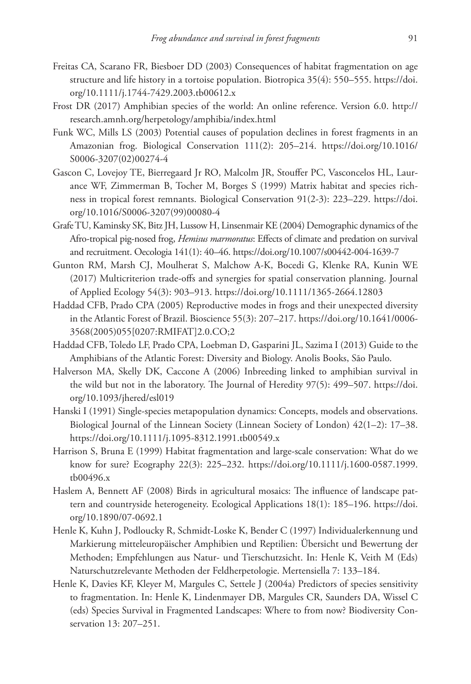- Freitas CA, Scarano FR, Biesboer DD (2003) Consequences of habitat fragmentation on age structure and life history in a tortoise population. Biotropica 35(4): 550–555. [https://doi.](https://doi.org/10.1111/j.1744-7429.2003.tb00612.x) [org/10.1111/j.1744-7429.2003.tb00612.x](https://doi.org/10.1111/j.1744-7429.2003.tb00612.x)
- Frost DR (2017) Amphibian species of the world: An online reference. Version 6.0. [http://](http://research.amnh.org/herpetology/amphibia/index.html) [research.amnh.org/herpetology/amphibia/index.html](http://research.amnh.org/herpetology/amphibia/index.html)
- Funk WC, Mills LS (2003) Potential causes of population declines in forest fragments in an Amazonian frog. Biological Conservation 111(2): 205–214. [https://doi.org/10.1016/](https://doi.org/10.1016/S0006-3207(02)00274-4) [S0006-3207\(02\)00274-4](https://doi.org/10.1016/S0006-3207(02)00274-4)
- Gascon C, Lovejoy TE, Bierregaard Jr RO, Malcolm JR, Stouffer PC, Vasconcelos HL, Laurance WF, Zimmerman B, Tocher M, Borges S (1999) Matrix habitat and species richness in tropical forest remnants. Biological Conservation 91(2-3): 223–229. [https://doi.](https://doi.org/10.1016/S0006-3207(99)00080-4) [org/10.1016/S0006-3207\(99\)00080-4](https://doi.org/10.1016/S0006-3207(99)00080-4)
- Grafe TU, Kaminsky SK, Bitz JH, Lussow H, Linsenmair KE (2004) Demographic dynamics of the Afro-tropical pig-nosed frog, *Hemisus marmoratus*: Effects of climate and predation on survival and recruitment. Oecologia 141(1): 40–46.<https://doi.org/10.1007/s00442-004-1639-7>
- Gunton RM, Marsh CJ, Moulherat S, Malchow A-K, Bocedi G, Klenke RA, Kunin WE (2017) Multicriterion trade-offs and synergies for spatial conservation planning. Journal of Applied Ecology 54(3): 903–913.<https://doi.org/10.1111/1365-2664.12803>
- Haddad CFB, Prado CPA (2005) Reproductive modes in frogs and their unexpected diversity in the Atlantic Forest of Brazil. Bioscience 55(3): 207–217. [https://doi.org/10.1641/0006-](https://doi.org/10.1641/0006-3568(2005)055%5B0207:RMIFAT%5D2.0.CO;2) [3568\(2005\)055\[0207:RMIFAT\]2.0.CO;2](https://doi.org/10.1641/0006-3568(2005)055%5B0207:RMIFAT%5D2.0.CO;2)
- Haddad CFB, Toledo LF, Prado CPA, Loebman D, Gasparini JL, Sazima I (2013) Guide to the Amphibians of the Atlantic Forest: Diversity and Biology. Anolis Books, São Paulo.
- Halverson MA, Skelly DK, Caccone A (2006) Inbreeding linked to amphibian survival in the wild but not in the laboratory. The Journal of Heredity 97(5): 499–507. [https://doi.](https://doi.org/10.1093/jhered/esl019) [org/10.1093/jhered/esl019](https://doi.org/10.1093/jhered/esl019)
- Hanski I (1991) Single-species metapopulation dynamics: Concepts, models and observations. Biological Journal of the Linnean Society (Linnean Society of London) 42(1–2): 17–38. <https://doi.org/10.1111/j.1095-8312.1991.tb00549.x>
- Harrison S, Bruna E (1999) Habitat fragmentation and large-scale conservation: What do we know for sure? Ecography 22(3): 225–232. [https://doi.org/10.1111/j.1600-0587.1999.](https://doi.org/10.1111/j.1600-0587.1999.tb00496.x) [tb00496.x](https://doi.org/10.1111/j.1600-0587.1999.tb00496.x)
- Haslem A, Bennett AF (2008) Birds in agricultural mosaics: The influence of landscape pattern and countryside heterogeneity. Ecological Applications 18(1): 185–196. [https://doi.](https://doi.org/10.1890/07-0692.1) [org/10.1890/07-0692.1](https://doi.org/10.1890/07-0692.1)
- Henle K, Kuhn J, Podloucky R, Schmidt-Loske K, Bender C (1997) Individualerkennung und Markierung mitteleuropäischer Amphibien und Reptilien: Übersicht und Bewertung der Methoden; Empfehlungen aus Natur- und Tierschutzsicht. In: Henle K, Veith M (Eds) Naturschutzrelevante Methoden der Feldherpetologie. Mertensiella 7: 133–184.
- Henle K, Davies KF, Kleyer M, Margules C, Settele J (2004a) Predictors of species sensitivity to fragmentation. In: Henle K, Lindenmayer DB, Margules CR, Saunders DA, Wissel C (eds) Species Survival in Fragmented Landscapes: Where to from now? Biodiversity Conservation 13: 207–251.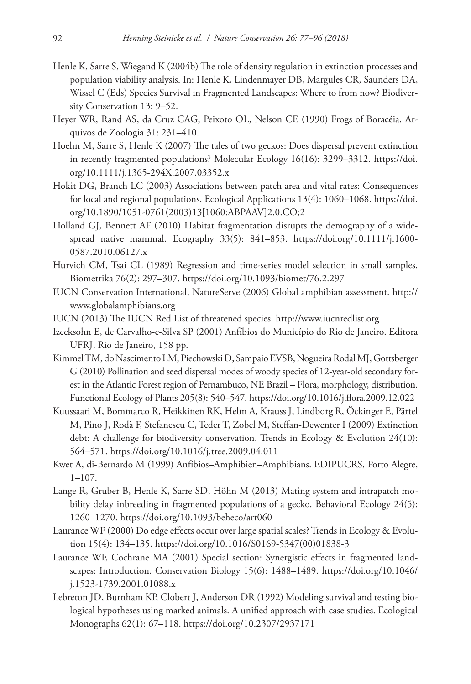- Henle K, Sarre S, Wiegand K (2004b) The role of density regulation in extinction processes and population viability analysis. In: Henle K, Lindenmayer DB, Margules CR, Saunders DA, Wissel C (Eds) Species Survival in Fragmented Landscapes: Where to from now? Biodiversity Conservation 13: 9–52.
- Heyer WR, Rand AS, da Cruz CAG, Peixoto OL, Nelson CE (1990) Frogs of Boracéia. Arquivos de Zoologia 31: 231–410.
- Hoehn M, Sarre S, Henle K (2007) The tales of two geckos: Does dispersal prevent extinction in recently fragmented populations? Molecular Ecology 16(16): 3299–3312. [https://doi.](https://doi.org/10.1111/j.1365-294X.2007.03352.x) [org/10.1111/j.1365-294X.2007.03352.x](https://doi.org/10.1111/j.1365-294X.2007.03352.x)
- Hokit DG, Branch LC (2003) Associations between patch area and vital rates: Consequences for local and regional populations. Ecological Applications 13(4): 1060–1068. [https://doi.](https://doi.org/10.1890/1051-0761(2003)13%5B1060:ABPAAV%5D2.0.CO;2) [org/10.1890/1051-0761\(2003\)13\[1060:ABPAAV\]2.0.CO;2](https://doi.org/10.1890/1051-0761(2003)13%5B1060:ABPAAV%5D2.0.CO;2)
- Holland GJ, Bennett AF (2010) Habitat fragmentation disrupts the demography of a widespread native mammal. Ecography 33(5): 841–853. [https://doi.org/10.1111/j.1600-](https://doi.org/10.1111/j.1600-0587.2010.06127.x) [0587.2010.06127.x](https://doi.org/10.1111/j.1600-0587.2010.06127.x)
- Hurvich CM, Tsai CL (1989) Regression and time-series model selection in small samples. Biometrika 76(2): 297–307.<https://doi.org/10.1093/biomet/76.2.297>
- IUCN Conservation International, NatureServe (2006) Global amphibian assessment. [http://](http://www.globalamphibians.org) [www.globalamphibians.org](http://www.globalamphibians.org)
- IUCN (2013) The IUCN Red List of threatened species.<http://www.iucnredlist.org>
- Izecksohn E, de Carvalho-e-Silva SP (2001) Anfíbios do Município do Rio de Janeiro. Editora UFRJ, Rio de Janeiro, 158 pp.
- Kimmel TM, do Nascimento LM, Piechowski D, Sampaio EVSB, Nogueira Rodal MJ, Gottsberger G (2010) Pollination and seed dispersal modes of woody species of 12-year-old secondary forest in the Atlantic Forest region of Pernambuco, NE Brazil – Flora, morphology, distribution. Functional Ecology of Plants 205(8): 540–547. <https://doi.org/10.1016/j.flora.2009.12.022>
- Kuussaari M, Bommarco R, Heikkinen RK, Helm A, Krauss J, Lindborg R, Öckinger E, Pärtel M, Pino J, Rodà F, Stefanescu C, Teder T, Zobel M, Steffan-Dewenter I (2009) Extinction debt: A challenge for biodiversity conservation. Trends in Ecology & Evolution 24(10): 564–571.<https://doi.org/10.1016/j.tree.2009.04.011>
- Kwet A, di-Bernardo M (1999) Anfíbios–Amphibien–Amphibians. EDIPUCRS, Porto Alegre, 1–107.
- Lange R, Gruber B, Henle K, Sarre SD, Höhn M (2013) Mating system and intrapatch mobility delay inbreeding in fragmented populations of a gecko. Behavioral Ecology 24(5): 1260–1270.<https://doi.org/10.1093/beheco/art060>
- Laurance WF (2000) Do edge effects occur over large spatial scales? Trends in Ecology & Evolution 15(4): 134–135. [https://doi.org/10.1016/S0169-5347\(00\)01838-3](https://doi.org/10.1016/S0169-5347(00)01838-3)
- Laurance WF, Cochrane MA (2001) Special section: Synergistic effects in fragmented landscapes: Introduction. Conservation Biology 15(6): 1488–1489. [https://doi.org/10.1046/](https://doi.org/10.1046/j.1523-1739.2001.01088.x) [j.1523-1739.2001.01088.x](https://doi.org/10.1046/j.1523-1739.2001.01088.x)
- Lebreton JD, Burnham KP, Clobert J, Anderson DR (1992) Modeling survival and testing biological hypotheses using marked animals. A unified approach with case studies. Ecological Monographs 62(1): 67–118.<https://doi.org/10.2307/2937171>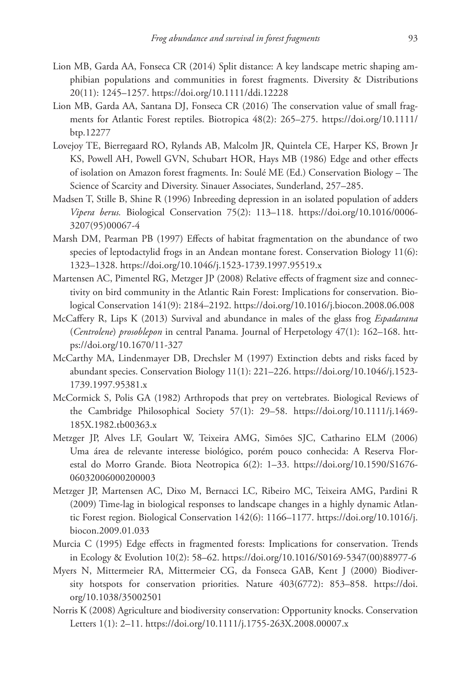- Lion MB, Garda AA, Fonseca CR (2014) Split distance: A key landscape metric shaping amphibian populations and communities in forest fragments. Diversity & Distributions 20(11): 1245–1257. <https://doi.org/10.1111/ddi.12228>
- Lion MB, Garda AA, Santana DJ, Fonseca CR (2016) The conservation value of small fragments for Atlantic Forest reptiles. Biotropica 48(2): 265–275. [https://doi.org/10.1111/](https://doi.org/10.1111/btp.12277) [btp.12277](https://doi.org/10.1111/btp.12277)
- Lovejoy TE, Bierregaard RO, Rylands AB, Malcolm JR, Quintela CE, Harper KS, Brown Jr KS, Powell AH, Powell GVN, Schubart HOR, Hays MB (1986) Edge and other effects of isolation on Amazon forest fragments. In: Soulé ME (Ed.) Conservation Biology – The Science of Scarcity and Diversity. Sinauer Associates, Sunderland, 257–285.
- Madsen T, Stille B, Shine R (1996) Inbreeding depression in an isolated population of adders *Vipera berus.* Biological Conservation 75(2): 113–118. [https://doi.org/10.1016/0006-](https://doi.org/10.1016/0006-3207(95)00067-4) [3207\(95\)00067-4](https://doi.org/10.1016/0006-3207(95)00067-4)
- Marsh DM, Pearman PB (1997) Effects of habitat fragmentation on the abundance of two species of leptodactylid frogs in an Andean montane forest. Conservation Biology 11(6): 1323–1328.<https://doi.org/10.1046/j.1523-1739.1997.95519.x>
- Martensen AC, Pimentel RG, Metzger JP (2008) Relative effects of fragment size and connectivity on bird community in the Atlantic Rain Forest: Implications for conservation. Biological Conservation 141(9): 2184–2192. <https://doi.org/10.1016/j.biocon.2008.06.008>
- McCaffery R, Lips K (2013) Survival and abundance in males of the glass frog *Espadarana* (*Centrolene*) *prosoblepon* in central Panama. Journal of Herpetology 47(1): 162–168. [htt](https://doi.org/10.1670/11-327)[ps://doi.org/10.1670/11-327](https://doi.org/10.1670/11-327)
- McCarthy MA, Lindenmayer DB, Drechsler M (1997) Extinction debts and risks faced by abundant species. Conservation Biology 11(1): 221–226. [https://doi.org/10.1046/j.1523-](https://doi.org/10.1046/j.1523-1739.1997.95381.x) [1739.1997.95381.x](https://doi.org/10.1046/j.1523-1739.1997.95381.x)
- McCormick S, Polis GA (1982) Arthropods that prey on vertebrates. Biological Reviews of the Cambridge Philosophical Society 57(1): 29–58. [https://doi.org/10.1111/j.1469-](https://doi.org/10.1111/j.1469-185X.1982.tb00363.x) [185X.1982.tb00363.x](https://doi.org/10.1111/j.1469-185X.1982.tb00363.x)
- Metzger JP, Alves LF, Goulart W, Teixeira AMG, Simões SJC, Catharino ELM (2006) Uma área de relevante interesse biológico, porém pouco conhecida: A Reserva Florestal do Morro Grande. Biota Neotropica 6(2): 1–33. [https://doi.org/10.1590/S1676-](https://doi.org/10.1590/S1676-06032006000200003) [06032006000200003](https://doi.org/10.1590/S1676-06032006000200003)
- Metzger JP, Martensen AC, Dixo M, Bernacci LC, Ribeiro MC, Teixeira AMG, Pardini R (2009) Time-lag in biological responses to landscape changes in a highly dynamic Atlantic Forest region. Biological Conservation 142(6): 1166–1177. [https://doi.org/10.1016/j.](https://doi.org/10.1016/j.biocon.2009.01.033) [biocon.2009.01.033](https://doi.org/10.1016/j.biocon.2009.01.033)
- Murcia C (1995) Edge effects in fragmented forests: Implications for conservation. Trends in Ecology & Evolution 10(2): 58–62. [https://doi.org/10.1016/S0169-5347\(00\)88977-6](https://doi.org/10.1016/S0169-5347(00)88977-6)
- Myers N, Mittermeier RA, Mittermeier CG, da Fonseca GAB, Kent J (2000) Biodiversity hotspots for conservation priorities. Nature 403(6772): 853–858. [https://doi.](https://doi.org/10.1038/35002501) [org/10.1038/35002501](https://doi.org/10.1038/35002501)
- Norris K (2008) Agriculture and biodiversity conservation: Opportunity knocks. Conservation Letters 1(1): 2–11.<https://doi.org/10.1111/j.1755-263X.2008.00007.x>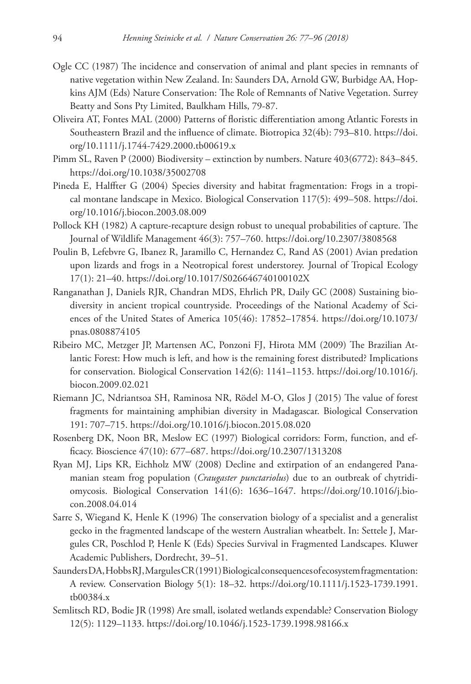- Ogle CC (1987) The incidence and conservation of animal and plant species in remnants of native vegetation within New Zealand. In: Saunders DA, Arnold GW, Burbidge AA, Hopkins AJM (Eds) Nature Conservation: The Role of Remnants of Native Vegetation. Surrey Beatty and Sons Pty Limited, Baulkham Hills, 79-87.
- Oliveira AT, Fontes MAL (2000) Patterns of floristic differentiation among Atlantic Forests in Southeastern Brazil and the influence of climate. Biotropica 32(4b): 793–810. [https://doi.](https://doi.org/10.1111/j.1744-7429.2000.tb00619.x) [org/10.1111/j.1744-7429.2000.tb00619.x](https://doi.org/10.1111/j.1744-7429.2000.tb00619.x)
- Pimm SL, Raven P (2000) Biodiversity extinction by numbers. Nature 403(6772): 843–845. <https://doi.org/10.1038/35002708>
- Pineda E, Halffter G (2004) Species diversity and habitat fragmentation: Frogs in a tropical montane landscape in Mexico. Biological Conservation 117(5): 499–508. [https://doi.](https://doi.org/10.1016/j.biocon.2003.08.009) [org/10.1016/j.biocon.2003.08.009](https://doi.org/10.1016/j.biocon.2003.08.009)
- Pollock KH (1982) A capture-recapture design robust to unequal probabilities of capture. The Journal of Wildlife Management 46(3): 757–760.<https://doi.org/10.2307/3808568>
- Poulin B, Lefebvre G, Ibanez R, Jaramillo C, Hernandez C, Rand AS (2001) Avian predation upon lizards and frogs in a Neotropical forest understorey. Journal of Tropical Ecology 17(1): 21–40. <https://doi.org/10.1017/S026646740100102X>
- Ranganathan J, Daniels RJR, Chandran MDS, Ehrlich PR, Daily GC (2008) Sustaining biodiversity in ancient tropical countryside. Proceedings of the National Academy of Sciences of the United States of America 105(46): 17852–17854. [https://doi.org/10.1073/](https://doi.org/10.1073/pnas.0808874105) [pnas.0808874105](https://doi.org/10.1073/pnas.0808874105)
- Ribeiro MC, Metzger JP, Martensen AC, Ponzoni FJ, Hirota MM (2009) The Brazilian Atlantic Forest: How much is left, and how is the remaining forest distributed? Implications for conservation. Biological Conservation 142(6): 1141–1153. [https://doi.org/10.1016/j.](https://doi.org/10.1016/j.biocon.2009.02.021) [biocon.2009.02.021](https://doi.org/10.1016/j.biocon.2009.02.021)
- Riemann JC, Ndriantsoa SH, Raminosa NR, Rödel M-O, Glos J (2015) The value of forest fragments for maintaining amphibian diversity in Madagascar. Biological Conservation 191: 707–715.<https://doi.org/10.1016/j.biocon.2015.08.020>
- Rosenberg DK, Noon BR, Meslow EC (1997) Biological corridors: Form, function, and efficacy. Bioscience 47(10): 677–687.<https://doi.org/10.2307/1313208>
- Ryan MJ, Lips KR, Eichholz MW (2008) Decline and extirpation of an endangered Panamanian steam frog population (*Craugaster punctariolus*) due to an outbreak of chytridiomycosis. Biological Conservation 141(6): 1636–1647. [https://doi.org/10.1016/j.bio](https://doi.org/10.1016/j.biocon.2008.04.014)[con.2008.04.014](https://doi.org/10.1016/j.biocon.2008.04.014)
- Sarre S, Wiegand K, Henle K (1996) The conservation biology of a specialist and a generalist gecko in the fragmented landscape of the western Australian wheatbelt. In: Settele J, Margules CR, Poschlod P, Henle K (Eds) Species Survival in Fragmented Landscapes. Kluwer Academic Publishers, Dordrecht, 39–51.
- Saunders DA, Hobbs RJ, Margules CR (1991) Biological consequences of ecosystem fragmentation: A review. Conservation Biology 5(1): 18–32. [https://doi.org/10.1111/j.1523-1739.1991.](https://doi.org/10.1111/j.1523-1739.1991.tb00384.x) [tb00384.x](https://doi.org/10.1111/j.1523-1739.1991.tb00384.x)
- Semlitsch RD, Bodie JR (1998) Are small, isolated wetlands expendable? Conservation Biology 12(5): 1129–1133. <https://doi.org/10.1046/j.1523-1739.1998.98166.x>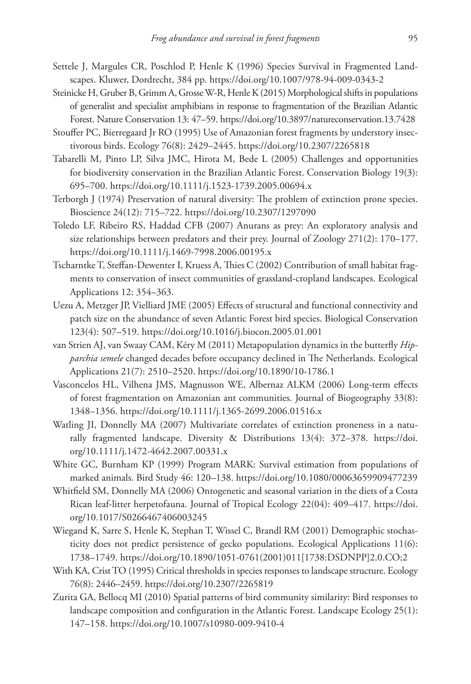- Settele J, Margules CR, Poschlod P, Henle K (1996) Species Survival in Fragmented Landscapes. Kluwer, Dordrecht, 384 pp.<https://doi.org/10.1007/978-94-009-0343-2>
- Steinicke H, Gruber B, Grimm A, Grosse W-R, Henle K (2015) Morphological shifts in populations of generalist and specialist amphibians in response to fragmentation of the Brazilian Atlantic Forest. Nature Conservation 13: 47–59. <https://doi.org/10.3897/natureconservation.13.7428>
- Stouffer PC, Bierregaard Jr RO (1995) Use of Amazonian forest fragments by understory insectivorous birds. Ecology 76(8): 2429–2445. <https://doi.org/10.2307/2265818>
- Tabarelli M, Pinto LP, Silva JMC, Hirota M, Bede L (2005) Challenges and opportunities for biodiversity conservation in the Brazilian Atlantic Forest. Conservation Biology 19(3): 695–700.<https://doi.org/10.1111/j.1523-1739.2005.00694.x>
- Terborgh J (1974) Preservation of natural diversity: The problem of extinction prone species. Bioscience 24(12): 715–722. <https://doi.org/10.2307/1297090>
- Toledo LF, Ribeiro RS, Haddad CFB (2007) Anurans as prey: An exploratory analysis and size relationships between predators and their prey. Journal of Zoology 271(2): 170–177. <https://doi.org/10.1111/j.1469-7998.2006.00195.x>
- Tscharntke T, Steffan-Dewenter I, Kruess A, Thies C (2002) Contribution of small habitat fragments to conservation of insect communities of grassland-cropland landscapes. Ecological Applications 12: 354–363.
- Uezu A, Metzger JP, Vielliard JME (2005) Effects of structural and functional connectivity and patch size on the abundance of seven Atlantic Forest bird species. Biological Conservation 123(4): 507–519. <https://doi.org/10.1016/j.biocon.2005.01.001>
- van Strien AJ, van Swaay CAM, Kéry M (2011) Metapopulation dynamics in the butterfly *Hipparchia semele* changed decades before occupancy declined in The Netherlands. Ecological Applications 21(7): 2510–2520. <https://doi.org/10.1890/10-1786.1>
- Vasconcelos HL, Vilhena JMS, Magnusson WE, Albernaz ALKM (2006) Long-term effects of forest fragmentation on Amazonian ant communities. Journal of Biogeography 33(8): 1348–1356.<https://doi.org/10.1111/j.1365-2699.2006.01516.x>
- Watling JI, Donnelly MA (2007) Multivariate correlates of extinction proneness in a naturally fragmented landscape. Diversity & Distributions 13(4): 372–378. [https://doi.](https://doi.org/10.1111/j.1472-4642.2007.00331.x) [org/10.1111/j.1472-4642.2007.00331.x](https://doi.org/10.1111/j.1472-4642.2007.00331.x)
- White GC, Burnham KP (1999) Program MARK: Survival estimation from populations of marked animals. Bird Study 46: 120–138. <https://doi.org/10.1080/00063659909477239>
- Whitfield SM, Donnelly MA (2006) Ontogenetic and seasonal variation in the diets of a Costa Rican leaf-litter herpetofauna. Journal of Tropical Ecology 22(04): 409–417. [https://doi.](https://doi.org/10.1017/S0266467406003245) [org/10.1017/S0266467406003245](https://doi.org/10.1017/S0266467406003245)
- Wiegand K, Sarre S, Henle K, Stephan T, Wissel C, Brandl RM (2001) Demographic stochasticity does not predict persistence of gecko populations. Ecological Applications 11(6): 1738–1749. [https://doi.org/10.1890/1051-0761\(2001\)011\[1738:DSDNPP\]2.0.CO;2](https://doi.org/10.1890/1051-0761(2001)011%5B1738:DSDNPP%5D2.0.CO;2)
- With KA, Crist TO (1995) Critical thresholds in species responses to landscape structure. Ecology 76(8): 2446–2459.<https://doi.org/10.2307/2265819>
- Zurita GA, Bellocq MI (2010) Spatial patterns of bird community similarity: Bird responses to landscape composition and configuration in the Atlantic Forest. Landscape Ecology 25(1): 147–158.<https://doi.org/10.1007/s10980-009-9410-4>